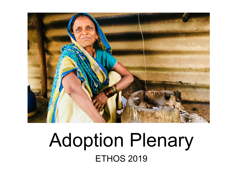

## Adoption Plenary **ETHOS 2019**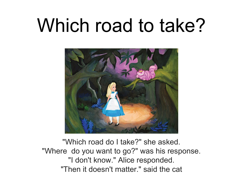# Which road to take?



"Which road do I take?" she asked. "Where do you want to go?" was his response. "I don't know." Alice responded. "Then it doesn't matter." said the cat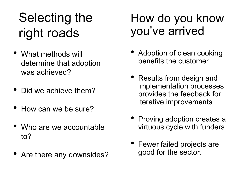## Selecting the right roads

- What methods will determine that adoption was achieved?
- Did we achieve them?
- How can we be sure?
- Who are we accountable to?
- Are there any downsides?

### How do you know you've arrived

- Adoption of clean cooking benefits the customer.
- Results from design and implementation processes provides the feedback for iterative improvements
- Proving adoption creates a virtuous cycle with funders
- Fewer failed projects are good for the sector.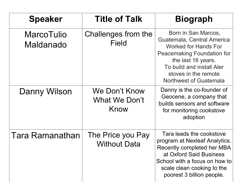| <b>Speaker</b>                 | <b>Title of Talk</b>                          | <b>Biograph</b>                                                                                                                                                                                                                   |
|--------------------------------|-----------------------------------------------|-----------------------------------------------------------------------------------------------------------------------------------------------------------------------------------------------------------------------------------|
| <b>MarcoTulio</b><br>Maldanado | Challenges from the<br><b>Field</b>           | Born in San Marcos,<br>Guatemala, Central America<br><b>Worked for Hands For</b><br><b>Peacemaking Foundation for</b><br>the last 16 years.<br>To build and install Aler<br>stoves in the remote<br><b>Northwest of Guatemala</b> |
| <b>Danny Wilson</b>            | We Don't Know<br><b>What We Don't</b><br>Know | Danny is the co-founder of<br>Geocene, a company that<br>builds sensors and software<br>for monitoring cookstove<br>adoption                                                                                                      |
| Tara Ramanathan                | The Price you Pay<br><b>Without Data</b>      | Tara leads the cookstove<br>program at Nexleaf Analytics.<br><b>Recently completed her MBA</b><br>at Oxford Said Business<br>School with a focus on how to<br>scale clean cooking to the<br>poorest 3 billion people.             |